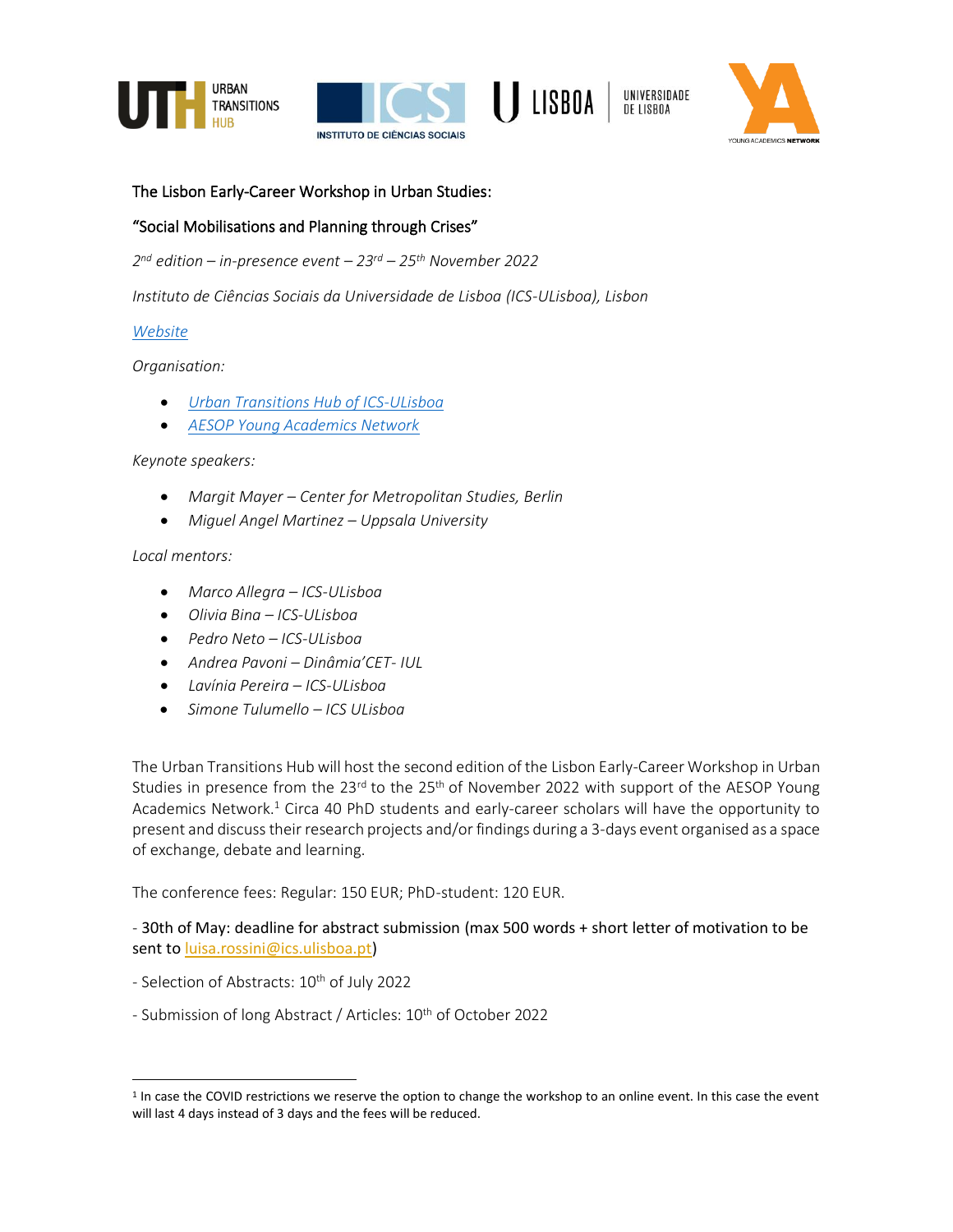







### The Lisbon Early-Career Workshop in Urban Studies:

## "Social Mobilisations and Planning through Crises"

*2 nd edition – in-presence event – 23 rd – 25th November 2022*

*Instituto de Ciências Sociais da Universidade de Lisboa (ICS-ULisboa), Lisbon*

#### *[Website](https://urbantransitionshub.org/events/the-lisbon-early-career-workshop-in-urban-studies-1st-ed/)*

*Organisation:*

- *[Urban Transitions Hub of ICS-ULisboa](https://urbantransitionshub.org/)*
- *[AESOP Young Academics Network](http://www.aesop-youngacademics.net/)*

*Keynote speakers:*

- *Margit Mayer – Center for Metropolitan Studies, Berlin*
- *Miguel Angel Martinez – Uppsala University*

*Local mentors:*

- *Marco Allegra – ICS-ULisboa*
- *Olivia Bina – ICS-ULisboa*
- *Pedro Neto – ICS-ULisboa*
- *Andrea Pavoni – Dinâmia'CET- IUL*
- *Lavínia Pereira – ICS-ULisboa*
- *Simone Tulumello – ICS ULisboa*

The Urban Transitions Hub will host the second edition of the Lisbon Early-Career Workshop in Urban Studies in presence from the 23<sup>rd</sup> to the 25<sup>th</sup> of November 2022 with support of the AESOP Young Academics Network.<sup>1</sup> Circa 40 PhD students and early-career scholars will have the opportunity to present and discuss their research projects and/or findings during a 3-days event organised as a space of exchange, debate and learning.

The conference fees: Regular: 150 EUR; PhD-student: 120 EUR.

- 30th of May: deadline for abstract submission (max 500 words + short letter of motivation to be sent to [luisa.rossini@ics.ulisboa.pt\)](mailto:luisa.rossini@ics.ulisboa.pt)

- Selection of Abstracts: 10<sup>th</sup> of July 2022
- Submission of long Abstract / Articles: 10<sup>th</sup> of October 2022

<sup>&</sup>lt;sup>1</sup> In case the COVID restrictions we reserve the option to change the workshop to an online event. In this case the event will last 4 days instead of 3 days and the fees will be reduced.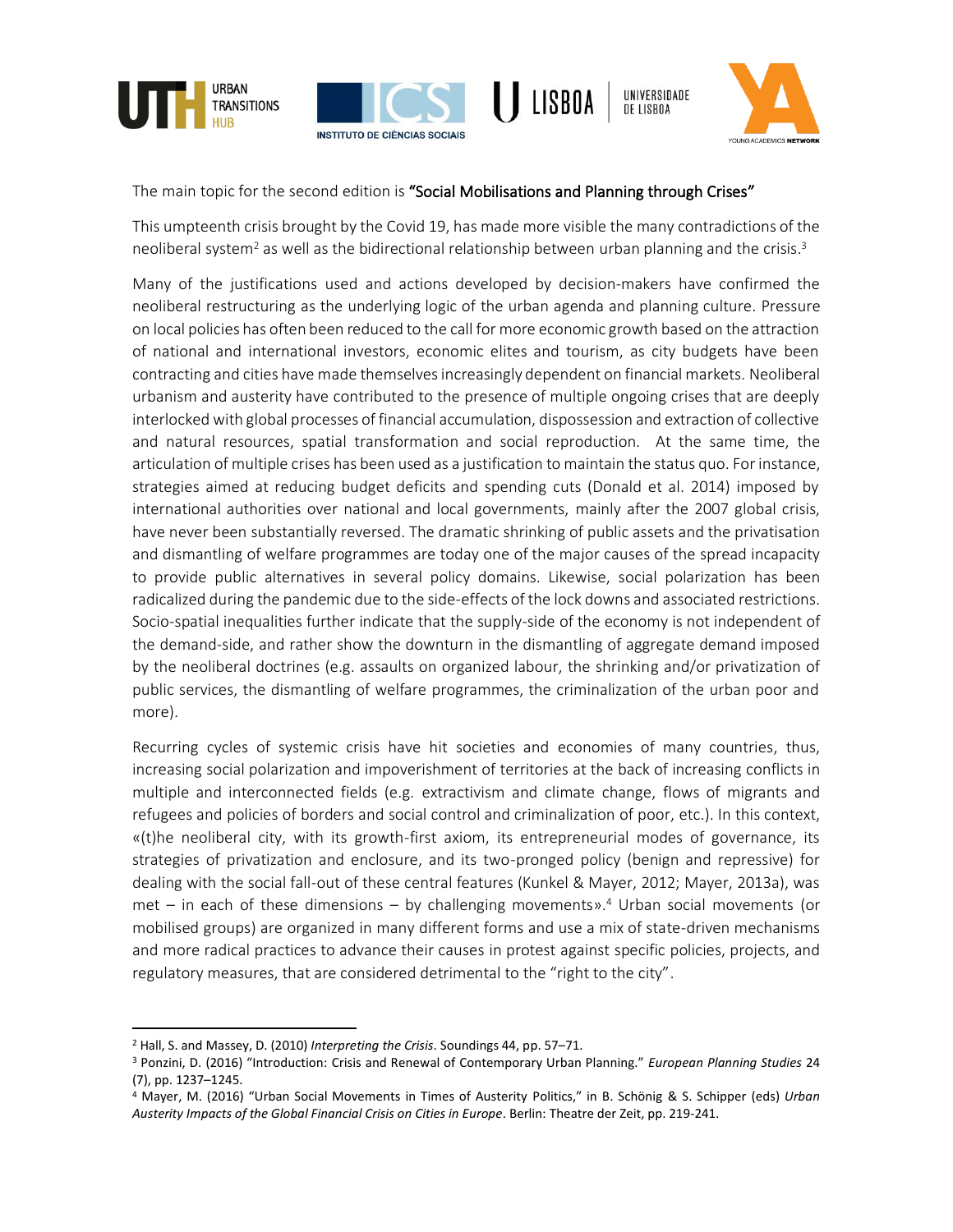







The main topic for the second edition is "Social Mobilisations and Planning through Crises"

This umpteenth crisis brought by the Covid 19, has made more visible the many contradictions of the neoliberal system<sup>2</sup> as well as the bidirectional relationship between urban planning and the crisis.<sup>3</sup>

Many of the justifications used and actions developed by decision-makers have confirmed the neoliberal restructuring as the underlying logic of the urban agenda and planning culture. Pressure on local policies has often been reduced to the call for more economic growth based on the attraction of national and international investors, economic elites and tourism, as city budgets have been contracting and cities have made themselves increasingly dependent on financial markets. Neoliberal urbanism and austerity have contributed to the presence of multiple ongoing crises that are deeply interlocked with global processes of financial accumulation, dispossession and extraction of collective and natural resources, spatial transformation and social reproduction. At the same time, the articulation of multiple crises has been used as a justification to maintain the status quo. For instance, strategies aimed at reducing budget deficits and spending cuts (Donald et al. 2014) imposed by international authorities over national and local governments, mainly after the 2007 global crisis, have never been substantially reversed. The dramatic shrinking of public assets and the privatisation and dismantling of welfare programmes are today one of the major causes of the spread incapacity to provide public alternatives in several policy domains. Likewise, social polarization has been radicalized during the pandemic due to the side-effects of the lock downs and associated restrictions. Socio-spatial inequalities further indicate that the supply-side of the economy is not independent of the demand-side, and rather show the downturn in the dismantling of aggregate demand imposed by the neoliberal doctrines (e.g. assaults on organized labour, the shrinking and/or privatization of public services, the dismantling of welfare programmes, the criminalization of the urban poor and more).

Recurring cycles of systemic crisis have hit societies and economies of many countries, thus, increasing social polarization and impoverishment of territories at the back of increasing conflicts in multiple and interconnected fields (e.g. extractivism and climate change, flows of migrants and refugees and policies of borders and social control and criminalization of poor, etc.). In this context, «(t)he neoliberal city, with its growth-first axiom, its entrepreneurial modes of governance, its strategies of privatization and enclosure, and its two-pronged policy (benign and repressive) for dealing with the social fall-out of these central features (Kunkel & Mayer, 2012; Mayer, 2013a), was met – in each of these dimensions – by challenging movements». <sup>4</sup> Urban social movements (or mobilised groups) are organized in many different forms and use a mix of state-driven mechanisms and more radical practices to advance their causes in protest against specific policies, projects, and regulatory measures, that are considered detrimental to the "right to the city".

<sup>2</sup> Hall, S. and Massey, D. (2010) *Interpreting the Crisis*. Soundings 44, pp. 57–71.

<sup>3</sup> Ponzini, D. (2016) "Introduction: Crisis and Renewal of Contemporary Urban Planning." *European Planning Studies* 24 (7), pp. 1237–1245.

<sup>4</sup> Mayer, M. (2016) "Urban Social Movements in Times of Austerity Politics," in B. Schönig & S. Schipper (eds) *Urban Austerity Impacts of the Global Financial Crisis on Cities in Europe*. Berlin: Theatre der Zeit, pp. 219-241.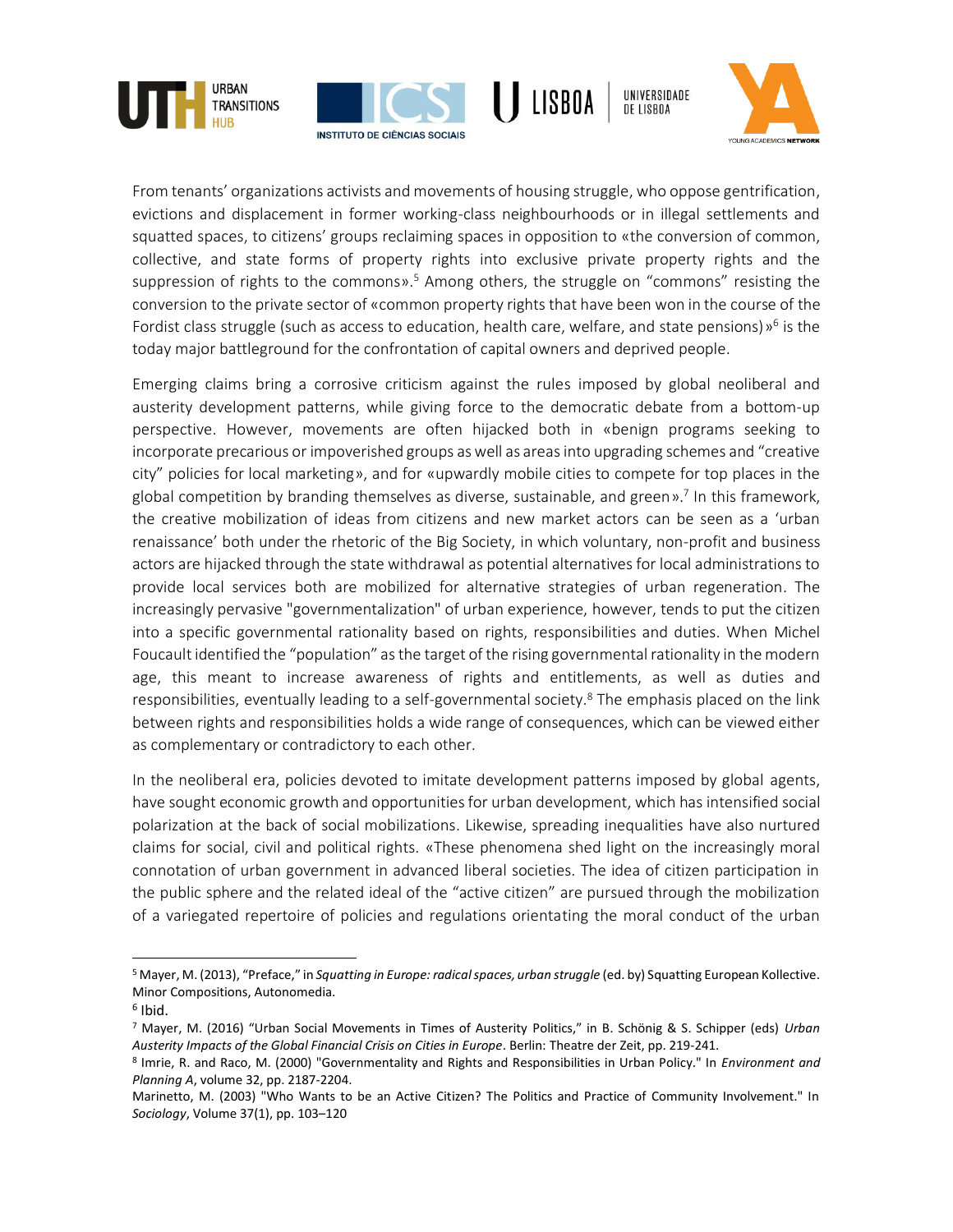







From tenants' organizations activists and movements of housing struggle, who oppose gentrification, evictions and displacement in former working-class neighbourhoods or in illegal settlements and squatted spaces, to citizens' groups reclaiming spaces in opposition to «the conversion of common, collective, and state forms of property rights into exclusive private property rights and the suppression of rights to the commons».<sup>5</sup> Among others, the struggle on "commons" resisting the conversion to the private sector of «common property rights that have been won in the course of the Fordist class struggle (such as access to education, health care, welfare, and state pensions)»<sup>6</sup> is the today major battleground for the confrontation of capital owners and deprived people.

Emerging claims bring a corrosive criticism against the rules imposed by global neoliberal and austerity development patterns, while giving force to the democratic debate from a bottom-up perspective. However, movements are often hijacked both in «benign programs seeking to incorporate precarious or impoverished groups as well as areas into upgrading schemes and "creative city" policies for local marketing», and for «upwardly mobile cities to compete for top places in the global competition by branding themselves as diverse, sustainable, and green». 7 In this framework, the creative mobilization of ideas from citizens and new market actors can be seen as a 'urban renaissance' both under the rhetoric of the Big Society, in which voluntary, non-profit and business actors are hijacked through the state withdrawal as potential alternatives for local administrations to provide local services both are mobilized for alternative strategies of urban regeneration. The increasingly pervasive "governmentalization" of urban experience, however, tends to put the citizen into a specific governmental rationality based on rights, responsibilities and duties. When Michel Foucault identified the "population" as the target of the rising governmental rationality in the modern age, this meant to increase awareness of rights and entitlements, as well as duties and responsibilities, eventually leading to a self-governmental society.<sup>8</sup> The emphasis placed on the link between rights and responsibilities holds a wide range of consequences, which can be viewed either as complementary or contradictory to each other.

In the neoliberal era, policies devoted to imitate development patterns imposed by global agents, have sought economic growth and opportunities for urban development, which has intensified social polarization at the back of social mobilizations. Likewise, spreading inequalities have also nurtured claims for social, civil and political rights. «These phenomena shed light on the increasingly moral connotation of urban government in advanced liberal societies. The idea of citizen participation in the public sphere and the related ideal of the "active citizen" are pursued through the mobilization of a variegated repertoire of policies and regulations orientating the moral conduct of the urban

<sup>5</sup> Mayer, M. (2013), "Preface," in *Squatting in Europe: radical spaces, urban struggle* (ed. by) Squatting European Kollective. Minor Compositions, Autonomedia.

<sup>6</sup> Ibid.

<sup>7</sup> Mayer, M. (2016) "Urban Social Movements in Times of Austerity Politics," in B. Schönig & S. Schipper (eds) *Urban Austerity Impacts of the Global Financial Crisis on Cities in Europe*. Berlin: Theatre der Zeit, pp. 219-241.

<sup>8</sup> Imrie, R. and Raco, M. (2000) "Governmentality and Rights and Responsibilities in Urban Policy." In *Environment and Planning A*, volume 32, pp. 2187-2204.

Marinetto, M. (2003) "Who Wants to be an Active Citizen? The Politics and Practice of Community Involvement." In *Sociology*, Volume 37(1), pp. 103–120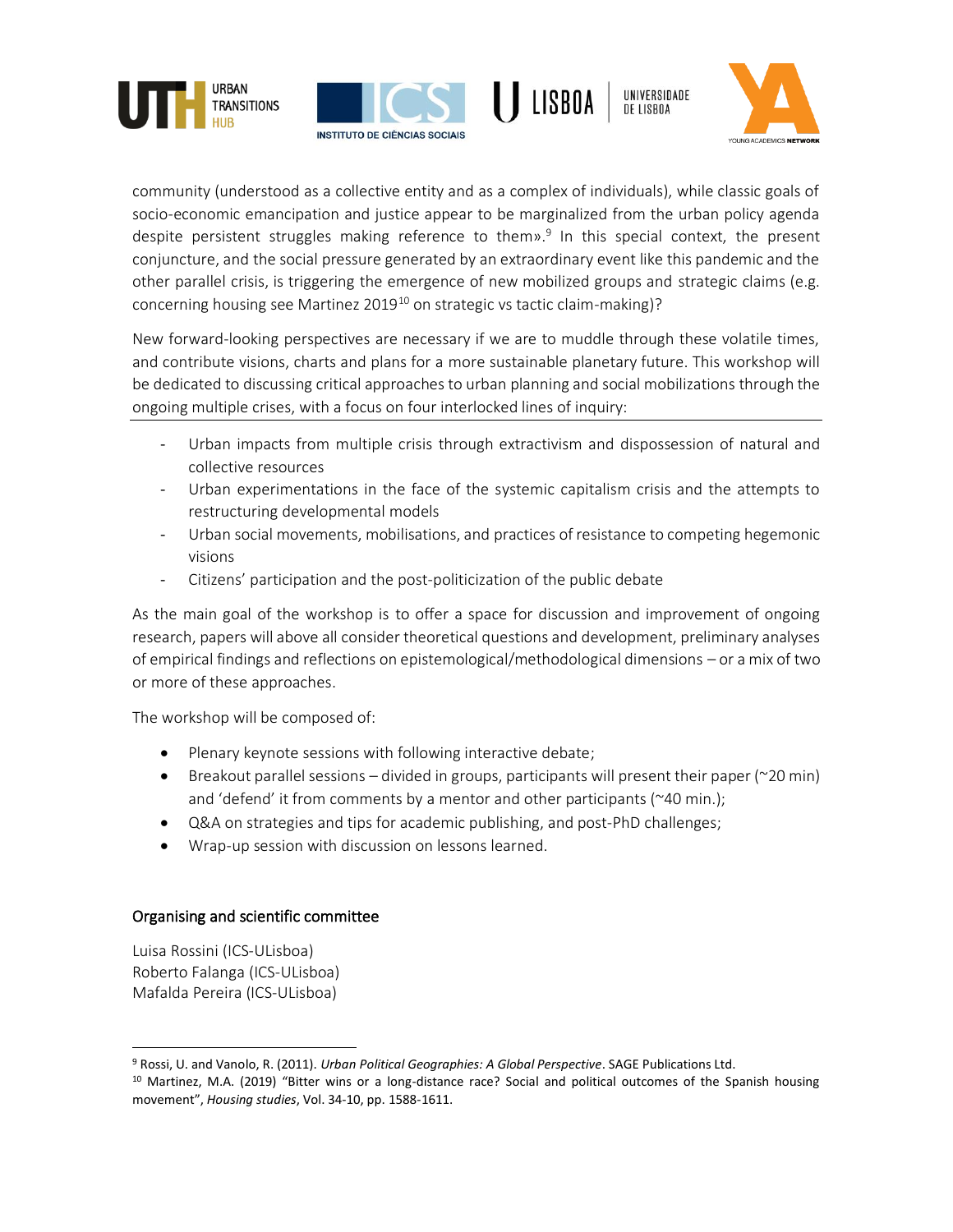







community (understood as a collective entity and as a complex of individuals), while classic goals of socio-economic emancipation and justice appear to be marginalized from the urban policy agenda despite persistent struggles making reference to them».<sup>9</sup> In this special context, the present conjuncture, and the social pressure generated by an extraordinary event like this pandemic and the other parallel crisis, is triggering the emergence of new mobilized groups and strategic claims (e.g. concerning housing see Martinez 2019<sup>10</sup> on strategic vs tactic claim-making)?

New forward-looking perspectives are necessary if we are to muddle through these volatile times, and contribute visions, charts and plans for a more sustainable planetary future. This workshop will be dedicated to discussing critical approaches to urban planning and social mobilizations through the ongoing multiple crises, with a focus on four interlocked lines of inquiry:

- Urban impacts from multiple crisis through extractivism and dispossession of natural and collective resources
- Urban experimentations in the face of the systemic capitalism crisis and the attempts to restructuring developmental models
- Urban social movements, mobilisations, and practices of resistance to competing hegemonic visions
- Citizens' participation and the post-politicization of the public debate

As the main goal of the workshop is to offer a space for discussion and improvement of ongoing research, papers will above all consider theoretical questions and development, preliminary analyses of empirical findings and reflections on epistemological/methodological dimensions – or a mix of two or more of these approaches.

The workshop will be composed of:

- Plenary keynote sessions with following interactive debate;
- Breakout parallel sessions divided in groups, participants will present their paper ( $\approx$ 20 min) and 'defend' it from comments by a mentor and other participants (~40 min.);
- Q&A on strategies and tips for academic publishing, and post-PhD challenges;
- Wrap-up session with discussion on lessons learned.

### Organising and scientific committee

Luisa Rossini (ICS-ULisboa) Roberto Falanga (ICS-ULisboa) Mafalda Pereira (ICS-ULisboa)

<sup>9</sup> Rossi, U. and Vanolo, R. (2011). *Urban Political Geographies: A Global Perspective*. SAGE Publications Ltd.

<sup>&</sup>lt;sup>10</sup> Martinez, M.A. (2019) "Bitter wins or a long-distance race? Social and political outcomes of the Spanish housing movement", *Housing studies*, Vol. 34-10, pp. 1588-1611.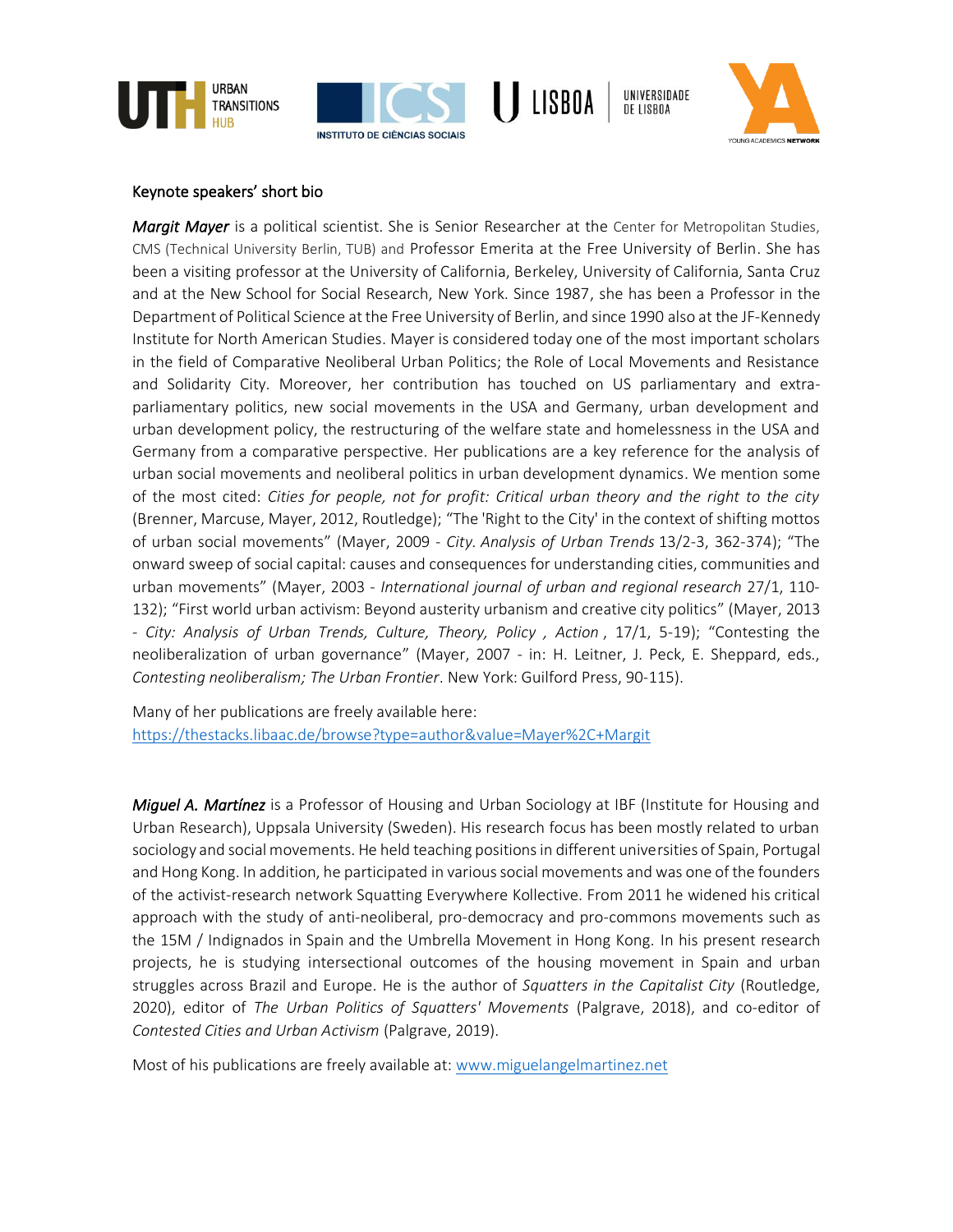







#### Keynote speakers' short bio

*Margit Mayer* is a political scientist. She is Senior Researcher at the Center for Metropolitan Studies, CMS (Technical University Berlin, TUB) and Professor Emerita at the Free University of Berlin. She has been a visiting professor at the University of California, Berkeley, University of California, Santa Cruz and at the New School for Social Research, New York. Since 1987, she has been a Professor in the Department of Political Science at the Free University of Berlin, and since 1990 also at the JF-Kennedy Institute for North American Studies. Mayer is considered today one of the most important scholars in the field of Comparative Neoliberal Urban Politics; the Role of Local Movements and Resistance and Solidarity City. Moreover, her contribution has touched on US parliamentary and extraparliamentary politics, new social movements in the USA and Germany, urban development and urban development policy, the restructuring of the welfare state and homelessness in the USA and Germany from a comparative perspective. Her publications are a key reference for the analysis of urban social movements and neoliberal politics in urban development dynamics. We mention some of the most cited: *Cities for people, not for profit: Critical urban theory and the right to the city* (Brenner, Marcuse, Mayer, 2012, Routledge); "The 'Right to the City' in the context of shifting mottos of urban social movements" (Mayer, 2009 - *City. Analysis of Urban Trends* 13/2-3, 362-374); "The onward sweep of social capital: causes and consequences for understanding cities, communities and urban movements" (Mayer, 2003 - *International journal of urban and regional research* 27/1, 110- 132); "First world urban activism: Beyond austerity urbanism and creative city politics" (Mayer, 2013 - *City: Analysis of Urban Trends, Culture, Theory, Policy , Action* , 17/1, 5-19); "Contesting the neoliberalization of urban governance" (Mayer, 2007 - in: H. Leitner, J. Peck, E. Sheppard, eds., *Contesting neoliberalism; The Urban Frontier*. New York: Guilford Press, 90-115).

Many of her publications are freely available here: <https://thestacks.libaac.de/browse?type=author&value=Mayer%2C+Margit>

*Miguel A. Martínez* is a Professor of Housing and Urban Sociology at IBF (Institute for Housing and Urban Research), Uppsala University (Sweden). His research focus has been mostly related to urban sociology and social movements. He held teaching positions in different universities of Spain, Portugal and Hong Kong. In addition, he participated in various social movements and was one of the founders of the activist-research network Squatting Everywhere Kollective. From 2011 he widened his critical approach with the study of anti-neoliberal, pro-democracy and pro-commons movements such as the 15M / Indignados in Spain and the Umbrella Movement in Hong Kong. In his present research projects, he is studying intersectional outcomes of the housing movement in Spain and urban struggles across Brazil and Europe. He is the author of *Squatters in the Capitalist City* (Routledge, 2020), editor of *The Urban Politics of Squatters' Movements* (Palgrave, 2018), and co-editor of *Contested Cities and Urban Activism* (Palgrave, 2019).

Most of his publications are freely available at: [www.miguelangelmartinez.net](http://www.miguelangelmartinez.net/)